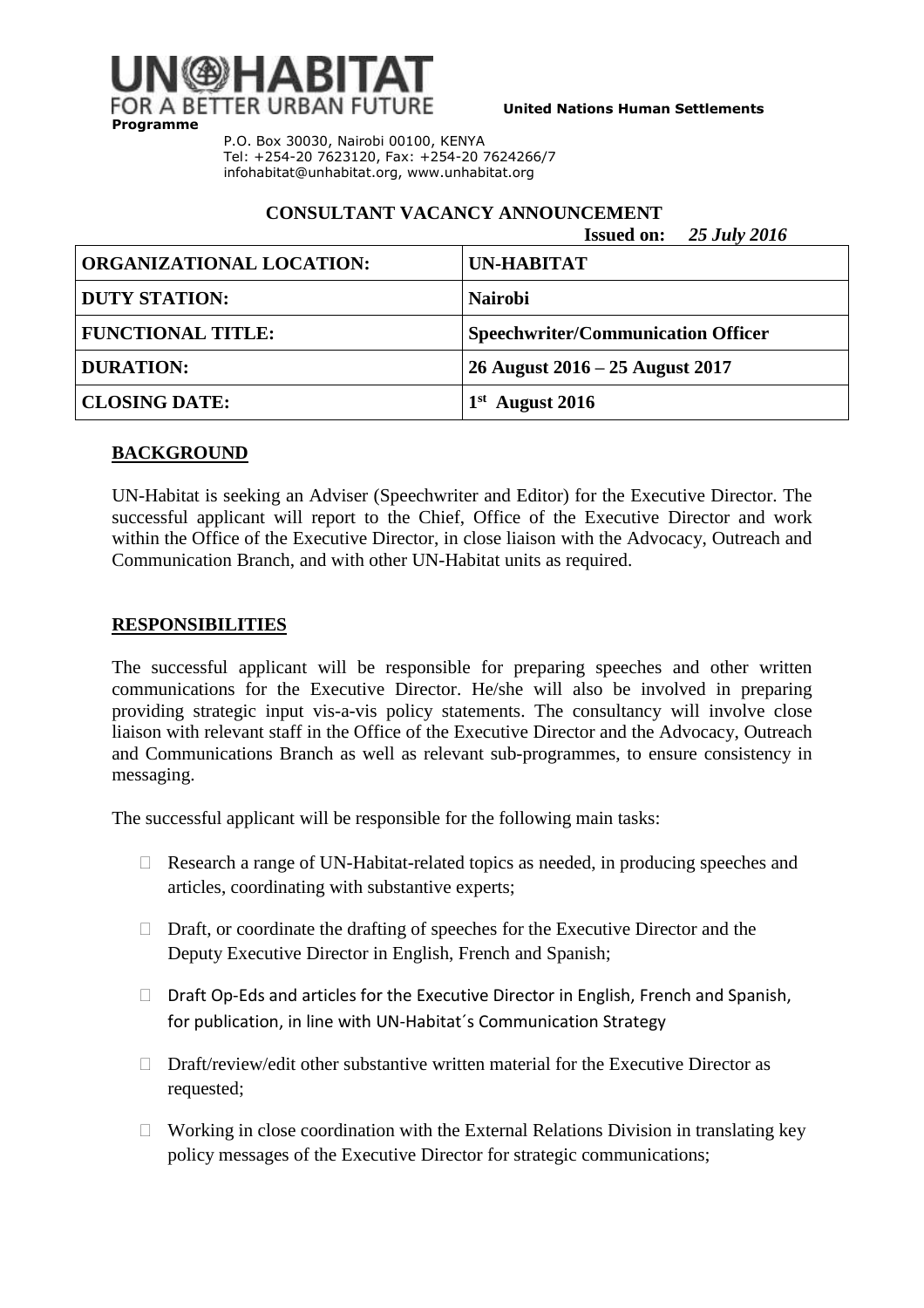

**United Nations Human Settlements**

P.O. Box 30030, Nairobi 00100, KENYA Tel: +254-20 7623120, Fax: +254-20 7624266/7 [infohabitat@unhabitat.org,](mailto:infohabitat@unhabitat.org) www.unhabitat.org

# **CONSULTANT VACANCY ANNOUNCEMENT**

|                                 | <b>Issued on:</b> 25 July 2016            |
|---------------------------------|-------------------------------------------|
| <b>ORGANIZATIONAL LOCATION:</b> | <b>UN-HABITAT</b>                         |
| <b>DUTY STATION:</b>            | <b>Nairobi</b>                            |
| <b>FUNCTIONAL TITLE:</b>        | <b>Speechwriter/Communication Officer</b> |
| <b>DURATION:</b>                | 26 August $2016 - 25$ August $2017$       |
| <b>CLOSING DATE:</b>            | <b>August 2016</b>                        |

## **BACKGROUND**

UN-Habitat is seeking an Adviser (Speechwriter and Editor) for the Executive Director. The successful applicant will report to the Chief, Office of the Executive Director and work within the Office of the Executive Director, in close liaison with the Advocacy, Outreach and Communication Branch, and with other UN-Habitat units as required.

# **RESPONSIBILITIES**

The successful applicant will be responsible for preparing speeches and other written communications for the Executive Director. He/she will also be involved in preparing providing strategic input vis-a-vis policy statements. The consultancy will involve close liaison with relevant staff in the Office of the Executive Director and the Advocacy, Outreach and Communications Branch as well as relevant sub-programmes, to ensure consistency in messaging.

The successful applicant will be responsible for the following main tasks:

- $\Box$  Research a range of UN-Habitat-related topics as needed, in producing speeches and articles, coordinating with substantive experts;
- $\Box$  Draft, or coordinate the drafting of speeches for the Executive Director and the Deputy Executive Director in English, French and Spanish;
- $\Box$  Draft Op-Eds and articles for the Executive Director in English, French and Spanish, for publication, in line with UN-Habitat´s Communication Strategy
- $\Box$  Draft/review/edit other substantive written material for the Executive Director as requested;
- $\Box$  Working in close coordination with the External Relations Division in translating key policy messages of the Executive Director for strategic communications;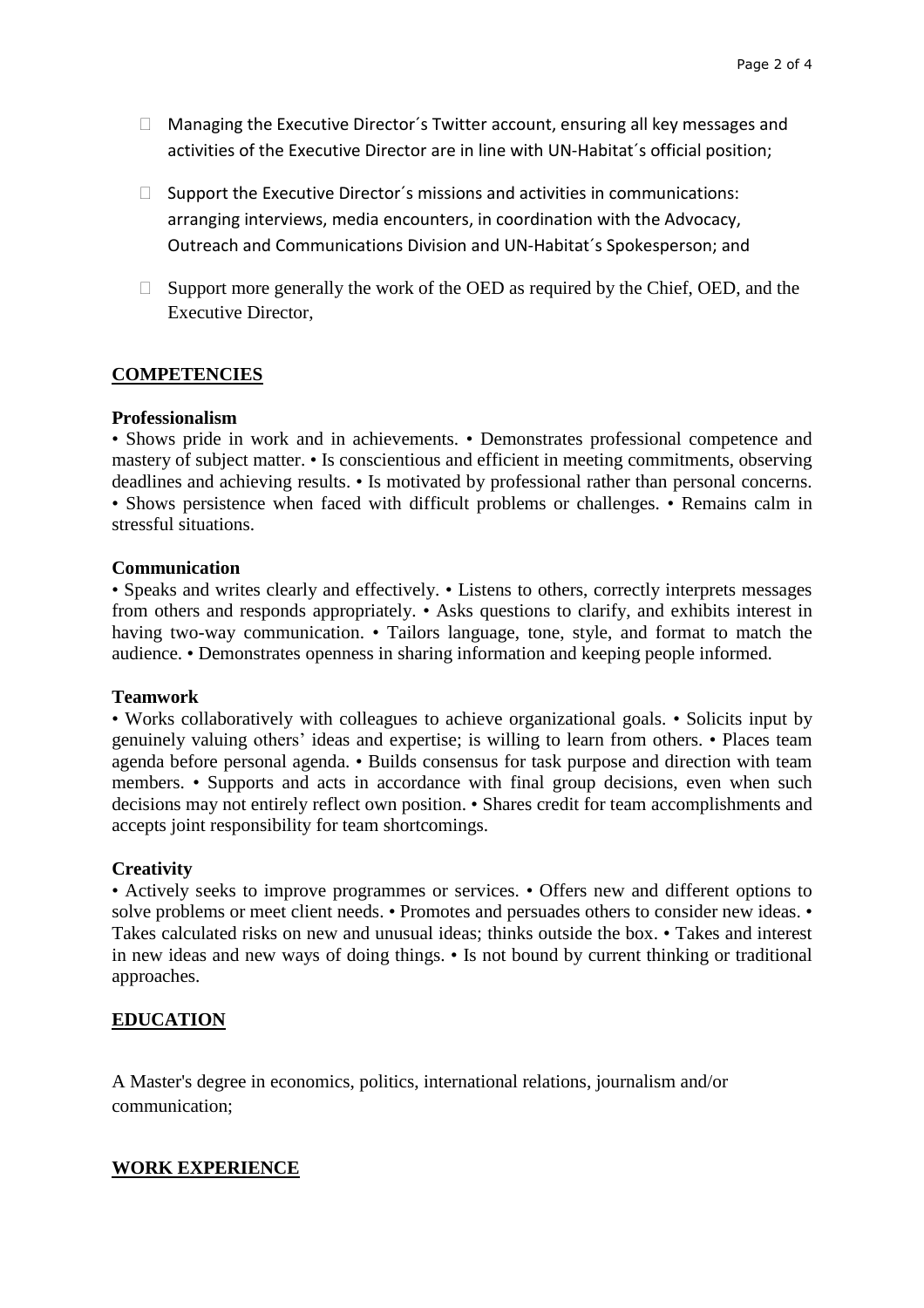- $\Box$  Managing the Executive Director's Twitter account, ensuring all key messages and activities of the Executive Director are in line with UN-Habitat´s official position;
- $\Box$  Support the Executive Director's missions and activities in communications: arranging interviews, media encounters, in coordination with the Advocacy, Outreach and Communications Division and UN-Habitat´s Spokesperson; and
- $\Box$  Support more generally the work of the OED as required by the Chief, OED, and the Executive Director,

## **COMPETENCIES**

### **Professionalism**

• Shows pride in work and in achievements. • Demonstrates professional competence and mastery of subject matter. • Is conscientious and efficient in meeting commitments, observing deadlines and achieving results. • Is motivated by professional rather than personal concerns. • Shows persistence when faced with difficult problems or challenges. • Remains calm in stressful situations.

### **Communication**

• Speaks and writes clearly and effectively. • Listens to others, correctly interprets messages from others and responds appropriately. • Asks questions to clarify, and exhibits interest in having two-way communication. • Tailors language, tone, style, and format to match the audience. • Demonstrates openness in sharing information and keeping people informed.

#### **Teamwork**

• Works collaboratively with colleagues to achieve organizational goals. • Solicits input by genuinely valuing others' ideas and expertise; is willing to learn from others. • Places team agenda before personal agenda. • Builds consensus for task purpose and direction with team members. • Supports and acts in accordance with final group decisions, even when such decisions may not entirely reflect own position. • Shares credit for team accomplishments and accepts joint responsibility for team shortcomings.

#### **Creativity**

• Actively seeks to improve programmes or services. • Offers new and different options to solve problems or meet client needs. • Promotes and persuades others to consider new ideas. • Takes calculated risks on new and unusual ideas; thinks outside the box. • Takes and interest in new ideas and new ways of doing things. • Is not bound by current thinking or traditional approaches.

## **EDUCATION**

A Master's degree in economics, politics, international relations, journalism and/or communication;

## **WORK EXPERIENCE**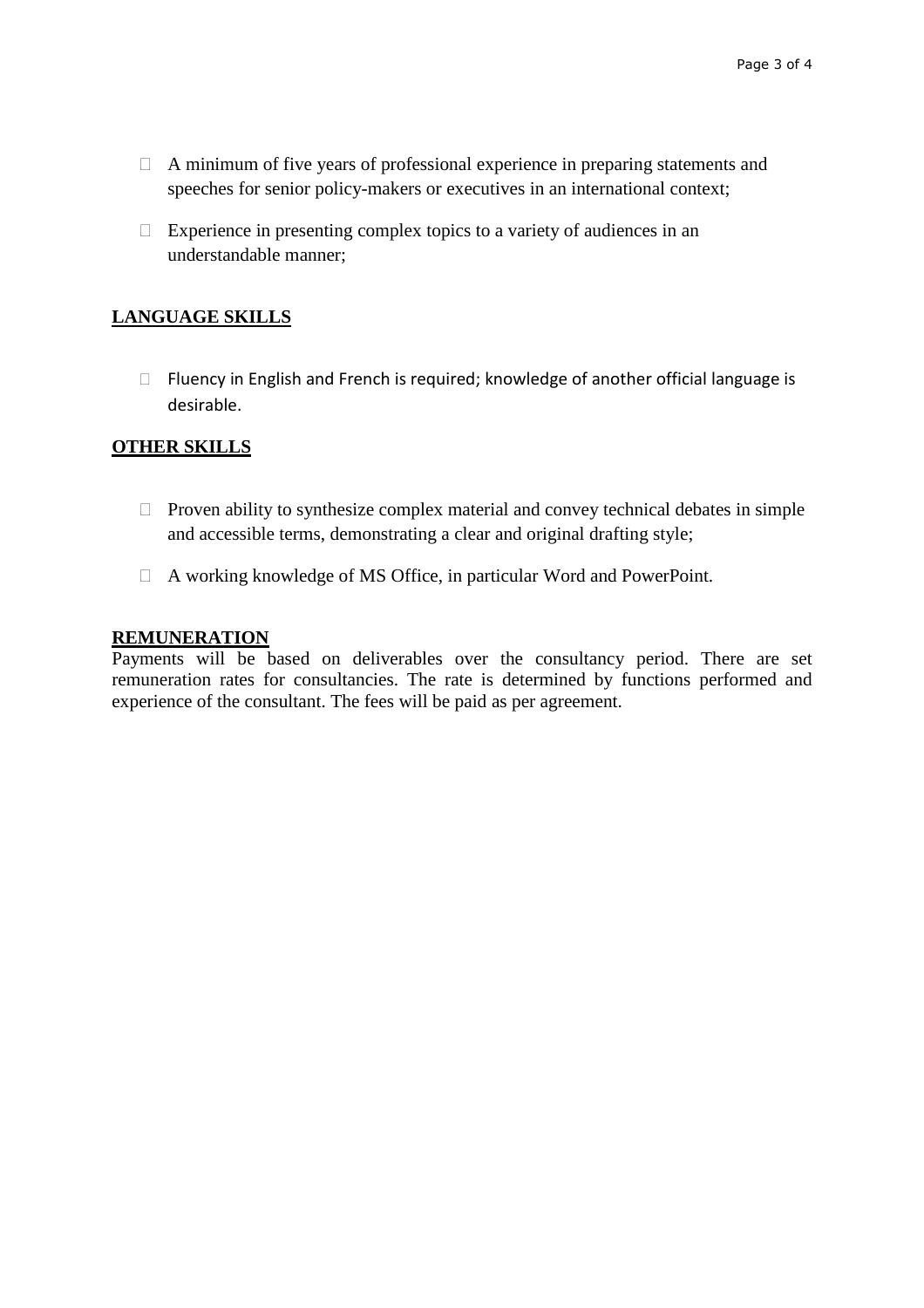- $\Box$  A minimum of five years of professional experience in preparing statements and speeches for senior policy-makers or executives in an international context;
- $\Box$  Experience in presenting complex topics to a variety of audiences in an understandable manner;

# **LANGUAGE SKILLS**

□ Fluency in English and French is required; knowledge of another official language is desirable.

## **OTHER SKILLS**

- $\Box$  Proven ability to synthesize complex material and convey technical debates in simple and accessible terms, demonstrating a clear and original drafting style;
- A working knowledge of MS Office, in particular Word and PowerPoint.

## **REMUNERATION**

Payments will be based on deliverables over the consultancy period. There are set remuneration rates for consultancies. The rate is determined by functions performed and experience of the consultant. The fees will be paid as per agreement.